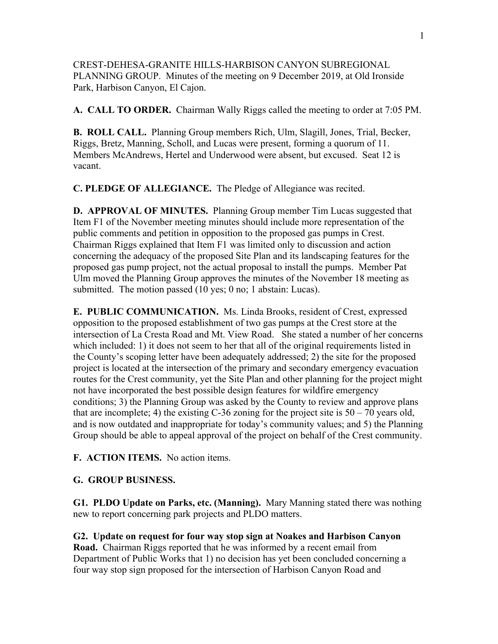CREST-DEHESA-GRANITE HILLS-HARBISON CANYON SUBREGIONAL PLANNING GROUP. Minutes of the meeting on 9 December 2019, at Old Ironside Park, Harbison Canyon, El Cajon.

**A. CALL TO ORDER.** Chairman Wally Riggs called the meeting to order at 7:05 PM.

**B. ROLL CALL.** Planning Group members Rich, Ulm, Slagill, Jones, Trial, Becker, Riggs, Bretz, Manning, Scholl, and Lucas were present, forming a quorum of 11. Members McAndrews, Hertel and Underwood were absent, but excused. Seat 12 is vacant.

**C. PLEDGE OF ALLEGIANCE.** The Pledge of Allegiance was recited.

**D. APPROVAL OF MINUTES.** Planning Group member Tim Lucas suggested that Item F1 of the November meeting minutes should include more representation of the public comments and petition in opposition to the proposed gas pumps in Crest. Chairman Riggs explained that Item F1 was limited only to discussion and action concerning the adequacy of the proposed Site Plan and its landscaping features for the proposed gas pump project, not the actual proposal to install the pumps. Member Pat Ulm moved the Planning Group approves the minutes of the November 18 meeting as submitted. The motion passed (10 yes; 0 no; 1 abstain: Lucas).

**E. PUBLIC COMMUNICATION.** Ms. Linda Brooks, resident of Crest, expressed opposition to the proposed establishment of two gas pumps at the Crest store at the intersection of La Cresta Road and Mt. View Road. She stated a number of her concerns which included: 1) it does not seem to her that all of the original requirements listed in the County's scoping letter have been adequately addressed; 2) the site for the proposed project is located at the intersection of the primary and secondary emergency evacuation routes for the Crest community, yet the Site Plan and other planning for the project might not have incorporated the best possible design features for wildfire emergency conditions; 3) the Planning Group was asked by the County to review and approve plans that are incomplete; 4) the existing C-36 zoning for the project site is  $50 - 70$  years old, and is now outdated and inappropriate for today's community values; and 5) the Planning Group should be able to appeal approval of the project on behalf of the Crest community.

**F. ACTION ITEMS.** No action items.

## **G. GROUP BUSINESS.**

**G1. PLDO Update on Parks, etc. (Manning).** Mary Manning stated there was nothing new to report concerning park projects and PLDO matters.

**G2. Update on request for four way stop sign at Noakes and Harbison Canyon Road.** Chairman Riggs reported that he was informed by a recent email from Department of Public Works that 1) no decision has yet been concluded concerning a four way stop sign proposed for the intersection of Harbison Canyon Road and